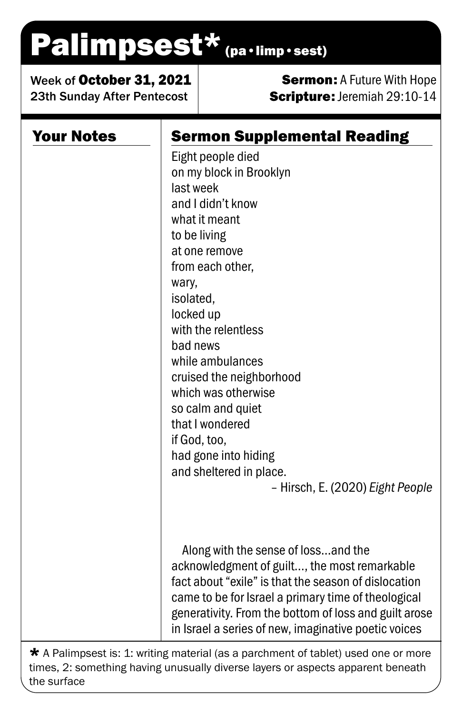## Palimpsest\* (pa·limp·sest)

Week of October 31, 2021 23th Sunday After Pentecost

## **Sermon: A Future With Hope** Scripture: Jeremiah 29:10-14

| <b>Your Notes</b> | <b>Sermon Supplemental Reading</b><br>Eight people died |
|-------------------|---------------------------------------------------------|
|                   | on my block in Brooklyn                                 |
|                   | last week                                               |
|                   | and I didn't know                                       |
|                   | what it meant                                           |
|                   | to be living                                            |
|                   | at one remove                                           |
|                   | from each other,                                        |
|                   | wary,                                                   |
|                   | isolated,                                               |
|                   | locked up                                               |
|                   | with the relentless                                     |
|                   | bad news                                                |
|                   | while ambulances                                        |
|                   | cruised the neighborhood<br>which was otherwise         |
|                   | so calm and quiet                                       |
|                   | that I wondered                                         |
|                   | if God, too,                                            |
|                   | had gone into hiding                                    |
|                   | and sheltered in place.                                 |
|                   | - Hirsch, E. (2020) Eight People                        |
|                   |                                                         |
|                   | Along with the sense of lossand the                     |
|                   | acknowledgment of guilt, the most remarkable            |
|                   | fact about "exile" is that the season of dislocation    |
|                   | came to be for Israel a primary time of theological     |
|                   | generativity. From the bottom of loss and guilt arose   |
|                   | in Israel a series of new, imaginative poetic voices    |

\* A Palimpsest is: 1: writing material (as a parchment of tablet) used one or more times, 2: something having unusually diverse layers or aspects apparent beneath the surface